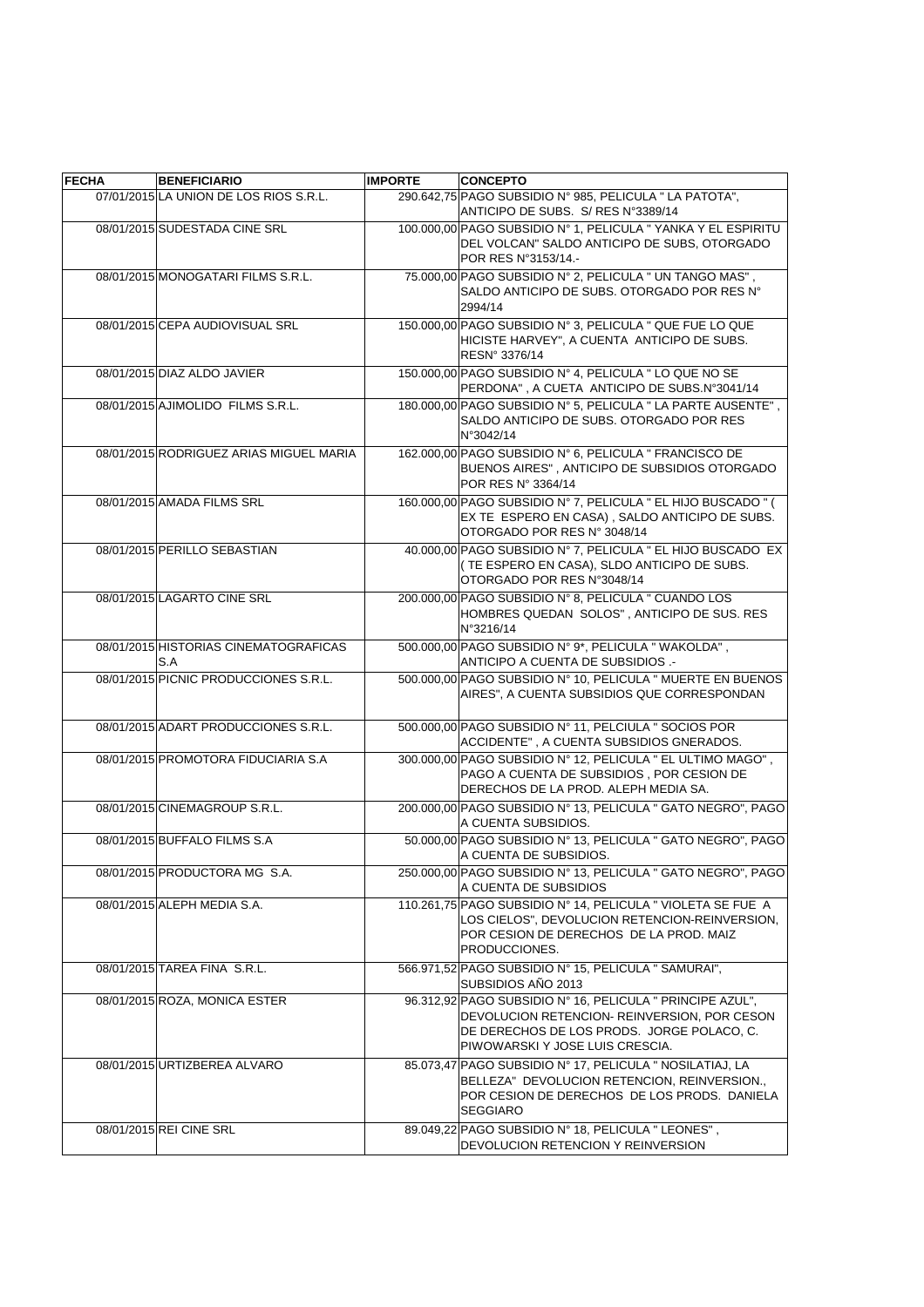| <b>FECHA</b> | <b>BENEFICIARIO</b>                          | <b>IMPORTE</b> | <b>CONCEPTO</b>                                                                                                                                                                            |
|--------------|----------------------------------------------|----------------|--------------------------------------------------------------------------------------------------------------------------------------------------------------------------------------------|
|              | 07/01/2015 LA UNION DE LOS RIOS S.R.L.       |                | 290.642,75 PAGO SUBSIDIO Nº 985, PELICULA " LA PATOTA",<br>ANTICIPO DE SUBS. S/ RES N°3389/14                                                                                              |
|              | 08/01/2015 SUDESTADA CINE SRL                |                | 100.000,00 PAGO SUBSIDIO Nº 1, PELICULA " YANKA Y EL ESPIRITU<br>DEL VOLCAN" SALDO ANTICIPO DE SUBS, OTORGADO<br>POR RES N°3153/14.-                                                       |
|              | 08/01/2015 MONOGATARI FILMS S.R.L.           |                | 75.000,00 PAGO SUBSIDIO Nº 2, PELICULA " UN TANGO MAS",<br>SALDO ANTICIPO DE SUBS. OTORGADO POR RES Nº<br>2994/14                                                                          |
|              | 08/01/2015 CEPA AUDIOVISUAL SRL              |                | 150.000,00 PAGO SUBSIDIO N° 3, PELICULA " QUE FUE LO QUE<br>HICISTE HARVEY", A CUENTA ANTICIPO DE SUBS.<br>RESN° 3376/14                                                                   |
|              | 08/01/2015 DIAZ ALDO JAVIER                  |                | 150.000,00 PAGO SUBSIDIO Nº 4, PELICULA " LO QUE NO SE<br>PERDONA", A CUETA ANTICIPO DE SUBS.N°3041/14                                                                                     |
|              | 08/01/2015 AJIMOLIDO FILMS S.R.L.            |                | 180.000,00 PAGO SUBSIDIO Nº 5, PELICULA " LA PARTE AUSENTE",<br>SALDO ANTICIPO DE SUBS. OTORGADO POR RES<br>N°3042/14                                                                      |
|              | 08/01/2015 RODRIGUEZ ARIAS MIGUEL MARIA      |                | 162.000,00 PAGO SUBSIDIO N° 6, PELICULA " FRANCISCO DE<br>BUENOS AIRES", ANTICIPO DE SUBSIDIOS OTORGADO<br>POR RES N° 3364/14                                                              |
|              | 08/01/2015 AMADA FILMS SRL                   |                | 160.000,00 PAGO SUBSIDIO N° 7, PELICULA " EL HIJO BUSCADO " (<br>EX TE ESPERO EN CASA), SALDO ANTICIPO DE SUBS.<br>OTORGADO POR RES Nº 3048/14                                             |
|              | 08/01/2015 PERILLO SEBASTIAN                 |                | 40.000,00 PAGO SUBSIDIO Nº 7, PELICULA " EL HIJO BUSCADO EX<br>(TE ESPERO EN CASA), SLDO ANTICIPO DE SUBS.<br>OTORGADO POR RES N°3048/14                                                   |
|              | 08/01/2015 LAGARTO CINE SRL                  |                | 200.000,00 PAGO SUBSIDIO Nº 8, PELICULA " CUANDO LOS<br>HOMBRES QUEDAN SOLOS", ANTICIPO DE SUS. RES<br>N°3216/14                                                                           |
|              | 08/01/2015 HISTORIAS CINEMATOGRAFICAS<br>S.A |                | 500.000,00 PAGO SUBSIDIO Nº 9*, PELICULA "WAKOLDA",<br>ANTICIPO A CUENTA DE SUBSIDIOS.-                                                                                                    |
|              | 08/01/2015 PICNIC PRODUCCIONES S.R.L.        |                | 500.000,00 PAGO SUBSIDIO Nº 10, PELICULA " MUERTE EN BUENOS<br>AIRES", A CUENTA SUBSIDIOS QUE CORRESPONDAN                                                                                 |
|              | 08/01/2015 ADART PRODUCCIONES S.R.L.         |                | 500.000,00 PAGO SUBSIDIO Nº 11, PELCIULA " SOCIOS POR<br>ACCIDENTE", A CUENTA SUBSIDIOS GNERADOS.                                                                                          |
|              | 08/01/2015 PROMOTORA FIDUCIARIA S.A          |                | 300.000,00 PAGO SUBSIDIO Nº 12, PELICULA " EL ULTIMO MAGO",<br>PAGO A CUENTA DE SUBSIDIOS, POR CESION DE<br>DERECHOS DE LA PROD. ALEPH MEDIA SA.                                           |
|              | 08/01/2015 CINEMAGROUP S.R.L.                |                | 200.000,00 PAGO SUBSIDIO Nº 13, PELICULA " GATO NEGRO", PAGO<br>A CUENTA SUBSIDIOS.                                                                                                        |
|              | 08/01/2015 BUFFALO FILMS S.A                 |                | 50.000,00 PAGO SUBSIDIO Nº 13, PELICULA " GATO NEGRO", PAGO<br>A CUENTA DE SUBSIDIOS.                                                                                                      |
|              | 08/01/2015 PRODUCTORA MG S.A.                |                | 250.000,00 PAGO SUBSIDIO Nº 13, PELICULA " GATO NEGRO", PAGO<br>A CUENTA DE SUBSIDIOS                                                                                                      |
|              | 08/01/2015 ALEPH MEDIA S.A.                  |                | 110.261,75 PAGO SUBSIDIO Nº 14, PELICULA " VIOLETA SE FUE A<br>LOS CIELOS", DEVOLUCION RETENCION-REINVERSION,<br>POR CESION DE DERECHOS DE LA PROD. MAIZ<br>PRODUCCIONES.                  |
|              | 08/01/2015 TAREA FINA S.R.L.                 |                | 566.971,52 PAGO SUBSIDIO N° 15, PELICULA " SAMURAI",<br>SUBSIDIOS AÑO 2013                                                                                                                 |
|              | 08/01/2015 ROZA, MONICA ESTER                |                | 96.312,92 PAGO SUBSIDIO Nº 16, PELICULA " PRINCIPE AZUL",<br>DEVOLUCION RETENCION- REINVERSION, POR CESON<br>DE DERECHOS DE LOS PRODS. JORGE POLACO, C.<br>PIWOWARSKI Y JOSE LUIS CRESCIA. |
|              | 08/01/2015 URTIZBEREA ALVARO                 |                | 85.073,47 PAGO SUBSIDIO Nº 17, PELICULA " NOSILATIAJ, LA<br>BELLEZA" DEVOLUCION RETENCION, REINVERSION.,<br>POR CESION DE DERECHOS DE LOS PRODS. DANIELA<br><b>SEGGIARO</b>                |
|              | 08/01/2015 REI CINE SRL                      |                | 89.049,22 PAGO SUBSIDIO Nº 18, PELICULA " LEONES",<br>DEVOLUCION RETENCION Y REINVERSION                                                                                                   |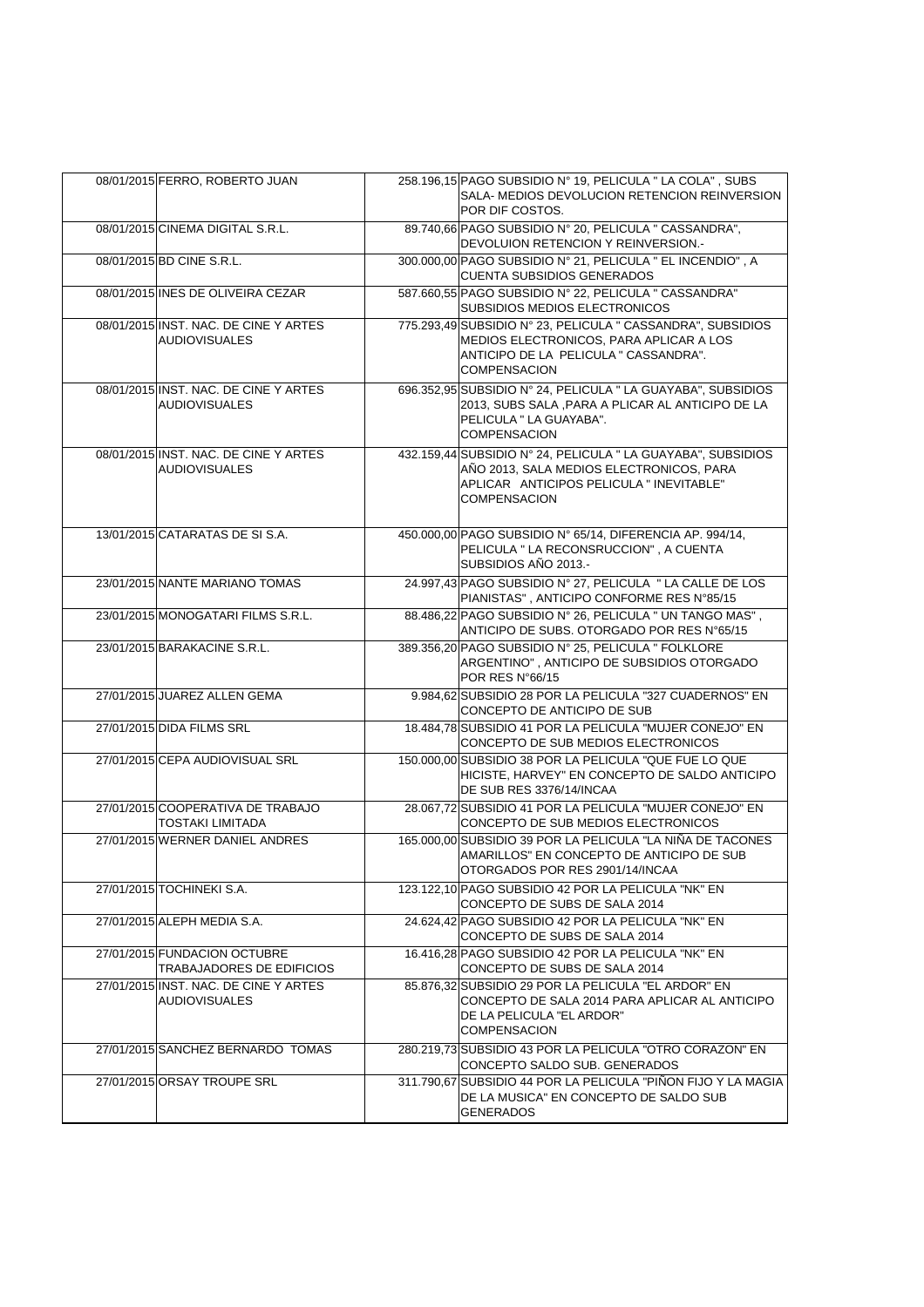| 08/01/2015 FERRO, ROBERTO JUAN                                | 258.196,15 PAGO SUBSIDIO Nº 19, PELICULA " LA COLA", SUBS<br>SALA- MEDIOS DEVOLUCION RETENCION REINVERSION<br>POR DIF COSTOS.                                               |
|---------------------------------------------------------------|-----------------------------------------------------------------------------------------------------------------------------------------------------------------------------|
| 08/01/2015 CINEMA DIGITAL S.R.L.                              | 89.740,66 PAGO SUBSIDIO Nº 20, PELICULA " CASSANDRA",<br>DEVOLUION RETENCION Y REINVERSION.-                                                                                |
| 08/01/2015 BD CINE S.R.L.                                     | 300.000,00 PAGO SUBSIDIO Nº 21, PELICULA " EL INCENDIO", A<br><b>CUENTA SUBSIDIOS GENERADOS</b>                                                                             |
| 08/01/2015 INES DE OLIVEIRA CEZAR                             | 587.660,55 PAGO SUBSIDIO Nº 22, PELICULA " CASSANDRA"<br>SUBSIDIOS MEDIOS ELECTRONICOS                                                                                      |
| 08/01/2015 INST. NAC. DE CINE Y ARTES<br><b>AUDIOVISUALES</b> | 775.293,49 SUBSIDIO Nº 23, PELICULA " CASSANDRA", SUBSIDIOS<br>MEDIOS ELECTRONICOS, PARA APLICAR A LOS<br>ANTICIPO DE LA PELICULA " CASSANDRA".<br><b>COMPENSACION</b>      |
| 08/01/2015 INST. NAC. DE CINE Y ARTES<br><b>AUDIOVISUALES</b> | 696.352,95 SUBSIDIO N° 24, PELICULA " LA GUAYABA", SUBSIDIOS<br>2013, SUBS SALA , PARA A PLICAR AL ANTICIPO DE LA<br>PELICULA " LA GUAYABA".<br><b>COMPENSACION</b>         |
| 08/01/2015 INST. NAC. DE CINE Y ARTES<br><b>AUDIOVISUALES</b> | 432.159,44 SUBSIDIO N° 24, PELICULA " LA GUAYABA", SUBSIDIOS<br>AÑO 2013, SALA MEDIOS ELECTRONICOS, PARA<br>APLICAR ANTICIPOS PELICULA " INEVITABLE"<br><b>COMPENSACION</b> |
| 13/01/2015 CATARATAS DE SI S.A.                               | 450.000,00 PAGO SUBSIDIO N° 65/14, DIFERENCIA AP. 994/14,<br>PELICULA " LA RECONSRUCCION", A CUENTA<br>SUBSIDIOS AÑO 2013.-                                                 |
| 23/01/2015 NANTE MARIANO TOMAS                                | 24.997,43 PAGO SUBSIDIO Nº 27, PELICULA " LA CALLE DE LOS<br>PIANISTAS", ANTICIPO CONFORME RES N°85/15                                                                      |
| 23/01/2015 MONOGATARI FILMS S.R.L.                            | 88.486,22 PAGO SUBSIDIO N° 26, PELICULA " UN TANGO MAS",<br>ANTICIPO DE SUBS. OTORGADO POR RES N°65/15                                                                      |
| 23/01/2015 BARAKACINE S.R.L.                                  | 389.356,20 PAGO SUBSIDIO Nº 25, PELICULA " FOLKLORE<br>ARGENTINO", ANTICIPO DE SUBSIDIOS OTORGADO<br>POR RES N°66/15                                                        |
| 27/01/2015 JUAREZ ALLEN GEMA                                  | 9.984,62 SUBSIDIO 28 POR LA PELICULA "327 CUADERNOS" EN<br>CONCEPTO DE ANTICIPO DE SUB                                                                                      |
| 27/01/2015 DIDA FILMS SRL                                     | 18.484,78 SUBSIDIO 41 POR LA PELICULA "MUJER CONEJO" EN<br>CONCEPTO DE SUB MEDIOS ELECTRONICOS                                                                              |
| 27/01/2015 CEPA AUDIOVISUAL SRL                               | 150.000,00 SUBSIDIO 38 POR LA PELICULA "QUE FUE LO QUE<br>HICISTE, HARVEY" EN CONCEPTO DE SALDO ANTICIPO<br>DE SUB RES 3376/14/INCAA                                        |
| 27/01/2015 COOPERATIVA DE TRABAJO<br><b>TOSTAKI LIMITADA</b>  | 28.067,72 SUBSIDIO 41 POR LA PELICULA "MUJER CONEJO" EN<br>CONCEPTO DE SUB MEDIOS ELECTRONICOS                                                                              |
| 27/01/2015 WERNER DANIEL ANDRES                               | 165.000,00 SUBSIDIO 39 POR LA PELICULA "LA NIÑA DE TACONES<br>AMARILLOS" EN CONCEPTO DE ANTICIPO DE SUB<br>OTORGADOS POR RES 2901/14/INCAA                                  |
| 27/01/2015 TOCHINEKI S.A.                                     | 123.122,10 PAGO SUBSIDIO 42 POR LA PELICULA "NK" EN<br>CONCEPTO DE SUBS DE SALA 2014                                                                                        |
| 27/01/2015 ALEPH MEDIA S.A.                                   | 24.624,42 PAGO SUBSIDIO 42 POR LA PELICULA "NK" EN<br>CONCEPTO DE SUBS DE SALA 2014                                                                                         |
| 27/01/2015 FUNDACION OCTUBRE<br>TRABAJADORES DE EDIFICIOS     | 16.416,28 PAGO SUBSIDIO 42 POR LA PELICULA "NK" EN<br>CONCEPTO DE SUBS DE SALA 2014                                                                                         |
| 27/01/2015 INST. NAC. DE CINE Y ARTES<br><b>AUDIOVISUALES</b> | 85.876,32 SUBSIDIO 29 POR LA PELICULA "EL ARDOR" EN<br>CONCEPTO DE SALA 2014 PARA APLICAR AL ANTICIPO<br>DE LA PELICULA "EL ARDOR"<br><b>COMPENSACION</b>                   |
| 27/01/2015 SANCHEZ BERNARDO TOMAS                             | 280.219.73 SUBSIDIO 43 POR LA PELICULA "OTRO CORAZON" EN<br>CONCEPTO SALDO SUB. GENERADOS                                                                                   |
| 27/01/2015 ORSAY TROUPE SRL                                   | 311.790,67 SUBSIDIO 44 POR LA PELICULA "PIÑON FIJO Y LA MAGIA<br>DE LA MUSICA" EN CONCEPTO DE SALDO SUB<br>GENERADOS                                                        |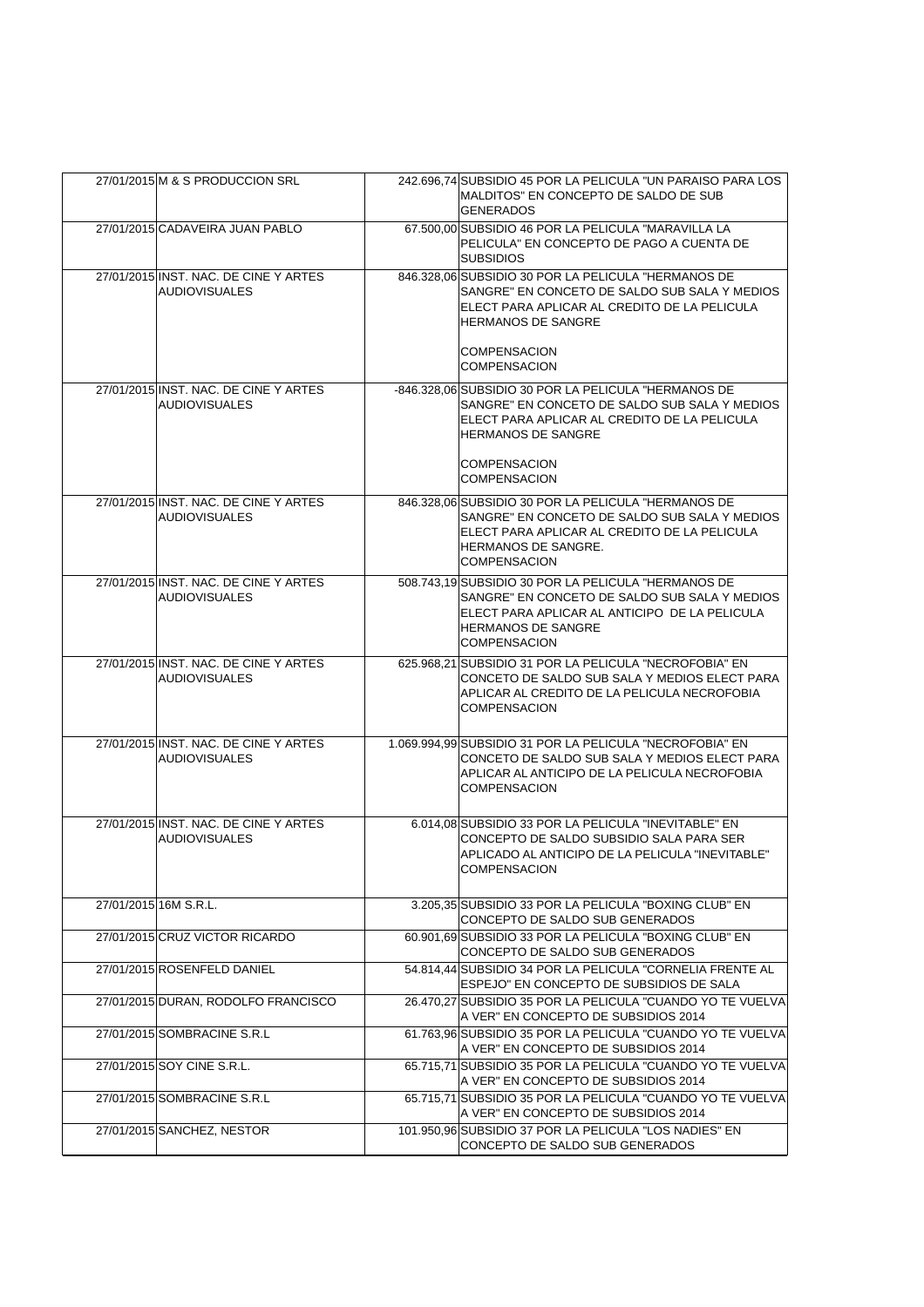|                       | 27/01/2015 M & S PRODUCCION SRL                               | 242.696,74 SUBSIDIO 45 POR LA PELICULA "UN PARAISO PARA LOS<br>MALDITOS" EN CONCEPTO DE SALDO DE SUB<br><b>GENERADOS</b>                                                                                  |
|-----------------------|---------------------------------------------------------------|-----------------------------------------------------------------------------------------------------------------------------------------------------------------------------------------------------------|
|                       | 27/01/2015 CADAVEIRA JUAN PABLO                               | 67.500.00 SUBSIDIO 46 POR LA PELICULA "MARAVILLA LA<br>PELICULA" EN CONCEPTO DE PAGO A CUENTA DE<br><b>SUBSIDIOS</b>                                                                                      |
|                       | 27/01/2015 INST. NAC. DE CINE Y ARTES<br><b>AUDIOVISUALES</b> | 846.328.06 SUBSIDIO 30 POR LA PELICULA "HERMANOS DE<br>SANGRE" EN CONCETO DE SALDO SUB SALA Y MEDIOS<br>ELECT PARA APLICAR AL CREDITO DE LA PELICULA<br><b>HERMANOS DE SANGRE</b>                         |
|                       |                                                               | <b>COMPENSACION</b><br><b>COMPENSACION</b>                                                                                                                                                                |
|                       | 27/01/2015 INST. NAC. DE CINE Y ARTES<br><b>AUDIOVISUALES</b> | -846.328,06 SUBSIDIO 30 POR LA PELICULA "HERMANOS DE<br>SANGRE" EN CONCETO DE SALDO SUB SALA Y MEDIOS<br>ELECT PARA APLICAR AL CREDITO DE LA PELICULA<br><b>HERMANOS DE SANGRE</b><br><b>COMPENSACION</b> |
|                       |                                                               | <b>COMPENSACION</b>                                                                                                                                                                                       |
|                       | 27/01/2015 INST. NAC. DE CINE Y ARTES<br><b>AUDIOVISUALES</b> | 846.328,06 SUBSIDIO 30 POR LA PELICULA "HERMANOS DE<br>SANGRE" EN CONCETO DE SALDO SUB SALA Y MEDIOS<br>ELECT PARA APLICAR AL CREDITO DE LA PELICULA<br>HERMANOS DE SANGRE.<br><b>COMPENSACION</b>        |
|                       | 27/01/2015 INST. NAC. DE CINE Y ARTES<br><b>AUDIOVISUALES</b> | 508.743,19 SUBSIDIO 30 POR LA PELICULA "HERMANOS DE<br>SANGRE" EN CONCETO DE SALDO SUB SALA Y MEDIOS<br>ELECT PARA APLICAR AL ANTICIPO DE LA PELICULA<br><b>HERMANOS DE SANGRE</b><br><b>COMPENSACION</b> |
|                       | 27/01/2015 INST. NAC. DE CINE Y ARTES<br><b>AUDIOVISUALES</b> | 625.968,21 SUBSIDIO 31 POR LA PELICULA "NECROFOBIA" EN<br>CONCETO DE SALDO SUB SALA Y MEDIOS ELECT PARA<br>APLICAR AL CREDITO DE LA PELICULA NECROFOBIA<br><b>COMPENSACION</b>                            |
|                       | 27/01/2015 INST. NAC. DE CINE Y ARTES<br><b>AUDIOVISUALES</b> | 1.069.994,99 SUBSIDIO 31 POR LA PELICULA "NECROFOBIA" EN<br>CONCETO DE SALDO SUB SALA Y MEDIOS ELECT PARA<br>APLICAR AL ANTICIPO DE LA PELICULA NECROFOBIA<br><b>COMPENSACION</b>                         |
|                       | 27/01/2015 INST. NAC. DE CINE Y ARTES<br><b>AUDIOVISUALES</b> | 6.014,08 SUBSIDIO 33 POR LA PELICULA "INEVITABLE" EN<br>CONCEPTO DE SALDO SUBSIDIO SALA PARA SER<br>APLICADO AL ANTICIPO DE LA PELICULA "INEVITABLE"<br>COMPENSACION                                      |
| 27/01/2015 16M S.R.L. |                                                               | 3.205,35 SUBSIDIO 33 POR LA PELICULA "BOXING CLUB" EN<br>CONCEPTO DE SALDO SUB GENERADOS                                                                                                                  |
|                       | 27/01/2015 CRUZ VICTOR RICARDO                                | 60.901,69 SUBSIDIO 33 POR LA PELICULA "BOXING CLUB" EN<br>CONCEPTO DE SALDO SUB GENERADOS                                                                                                                 |
|                       | 27/01/2015 ROSENFELD DANIEL                                   | 54.814,44 SUBSIDIO 34 POR LA PELICULA "CORNELIA FRENTE AL<br>ESPEJO" EN CONCEPTO DE SUBSIDIOS DE SALA                                                                                                     |
|                       | 27/01/2015 DURAN, RODOLFO FRANCISCO                           | 26.470,27 SUBSIDIO 35 POR LA PELICULA "CUANDO YO TE VUELVA<br>A VER" EN CONCEPTO DE SUBSIDIOS 2014                                                                                                        |
|                       | 27/01/2015 SOMBRACINE S.R.L                                   | 61.763.96 SUBSIDIO 35 POR LA PELICULA "CUANDO YO TE VUELVA<br>A VER" EN CONCEPTO DE SUBSIDIOS 2014                                                                                                        |
|                       | 27/01/2015 SOY CINE S.R.L.                                    | 65.715,71 SUBSIDIO 35 POR LA PELICULA "CUANDO YO TE VUELVA<br>A VER" EN CONCEPTO DE SUBSIDIOS 2014                                                                                                        |
|                       | 27/01/2015 SOMBRACINE S.R.L                                   | 65.715.71 SUBSIDIO 35 POR LA PELICULA "CUANDO YO TE VUELVA<br>A VER" EN CONCEPTO DE SUBSIDIOS 2014                                                                                                        |
|                       | 27/01/2015 SANCHEZ, NESTOR                                    | 101.950,96 SUBSIDIO 37 POR LA PELICULA "LOS NADIES" EN<br>CONCEPTO DE SALDO SUB GENERADOS                                                                                                                 |